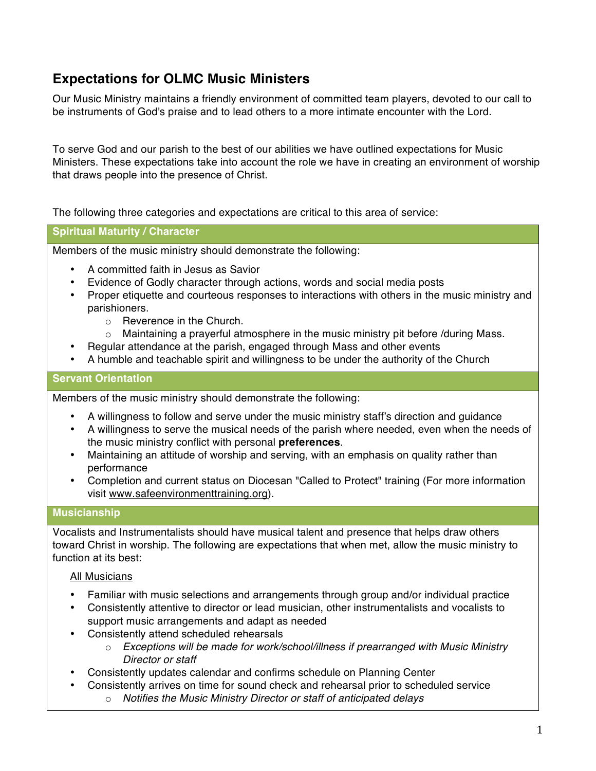# **Expectations for OLMC Music Ministers**

Our Music Ministry maintains a friendly environment of committed team players, devoted to our call to be instruments of God's praise and to lead others to a more intimate encounter with the Lord.

To serve God and our parish to the best of our abilities we have outlined expectations for Music Ministers. These expectations take into account the role we have in creating an environment of worship that draws people into the presence of Christ.

The following three categories and expectations are critical to this area of service:

## **Spiritual Maturity / Character**

Members of the music ministry should demonstrate the following:

- A committed faith in Jesus as Savior
- Evidence of Godly character through actions, words and social media posts
- Proper etiquette and courteous responses to interactions with others in the music ministry and parishioners.
	- o Reverence in the Church.
	- $\circ$  Maintaining a prayerful atmosphere in the music ministry pit before /during Mass.
	- Regular attendance at the parish, engaged through Mass and other events
- A humble and teachable spirit and willingness to be under the authority of the Church

## **Servant Orientation**

Members of the music ministry should demonstrate the following:

- A willingness to follow and serve under the music ministry staff's direction and guidance
- A willingness to serve the musical needs of the parish where needed, even when the needs of the music ministry conflict with personal **preferences**.
- Maintaining an attitude of worship and serving, with an emphasis on quality rather than performance
- Completion and current status on Diocesan "Called to Protect" training (For more information visit www.safeenvironmenttraining.org).

## **Musicianship**

Vocalists and Instrumentalists should have musical talent and presence that helps draw others toward Christ in worship. The following are expectations that when met, allow the music ministry to function at its best:

## All Musicians

- Familiar with music selections and arrangements through group and/or individual practice
- Consistently attentive to director or lead musician, other instrumentalists and vocalists to support music arrangements and adapt as needed
- Consistently attend scheduled rehearsals
	- o *Exceptions will be made for work/school/illness if prearranged with Music Ministry Director or staff*
- Consistently updates calendar and confirms schedule on Planning Center
- Consistently arrives on time for sound check and rehearsal prior to scheduled service
	- o *Notifies the Music Ministry Director or staff of anticipated delays*